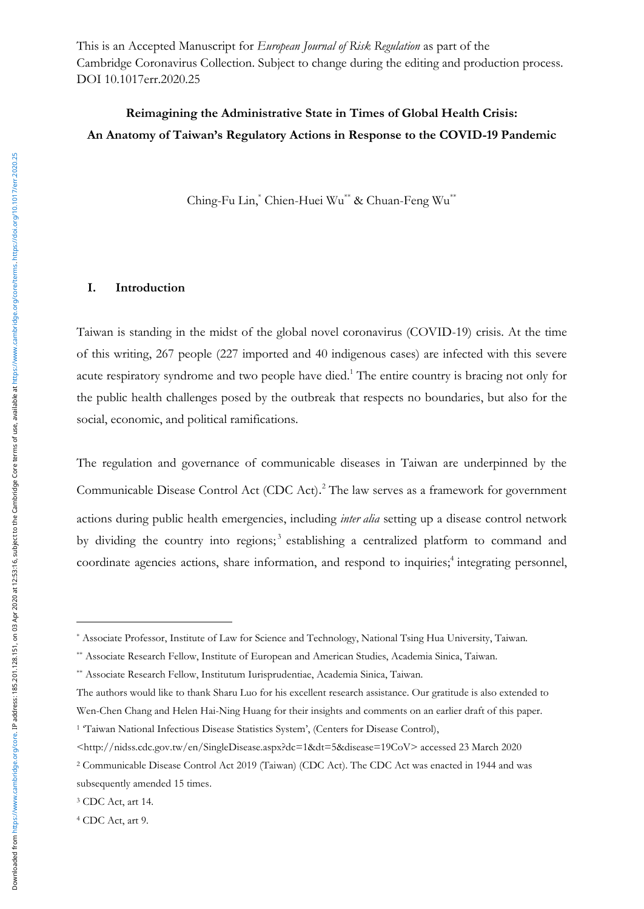This is an Accepted Manuscript for *European Journal of Risk Regulation* as part of the Cambridge Coronavirus Collection. Subject to change during the editing and production process. DOI 10.1017err.2020.25

# **Reimagining the Administrative State in Times of Global Health Crisis: An Anatomy of Taiwan's Regulatory Actions in Response to the COVID-19 Pandemic**

Ching-Fu Lin,\* Chien-Huei Wu\*\* & Chuan-Feng Wu\*\*

### **I. Introduction**

Taiwan is standing in the midst of the global novel coronavirus (COVID-19) crisis. At the time of this writing, 267 people (227 imported and 40 indigenous cases) are infected with this severe acute respiratory syndrome and two people have died.<sup>1</sup> The entire country is bracing not only for the public health challenges posed by the outbreak that respects no boundaries, but also for the social, economic, and political ramifications.

The regulation and governance of communicable diseases in Taiwan are underpinned by the Communicable Disease Control Act (CDC Act). <sup>2</sup> The law serves as a framework for government actions during public health emergencies, including *inter alia* setting up a disease control network by dividing the country into regions; 3 establishing a centralized platform to command and coordinate agencies actions, share information, and respond to inquiries; 4 integrating personnel,

<sup>\*</sup> Associate Professor, Institute of Law for Science and Technology, National Tsing Hua University, Taiwan.

<sup>\*\*</sup> Associate Research Fellow, Institute of European and American Studies, Academia Sinica, Taiwan.

<sup>\*\*</sup> Associate Research Fellow, Institutum Iurisprudentiae, Academia Sinica, Taiwan.

The authors would like to thank Sharu Luo for his excellent research assistance. Our gratitude is also extended to Wen-Chen Chang and Helen Hai-Ning Huang for their insights and comments on an earlier draft of this paper.

<sup>&</sup>lt;sup>1</sup> 'Taiwan National Infectious Disease Statistics System', (Centers for Disease Control),

<sup>&</sup>lt;http://nidss.cdc.gov.tw/en/SingleDisease.aspx?dc=1&dt=5&disease=19CoV> accessed 23 March 2020

<sup>2</sup> Communicable Disease Control Act 2019 (Taiwan) (CDC Act). The CDC Act was enacted in 1944 and was subsequently amended 15 times.

<sup>3</sup> CDC Act, art 14.

<sup>4</sup> CDC Act, art 9.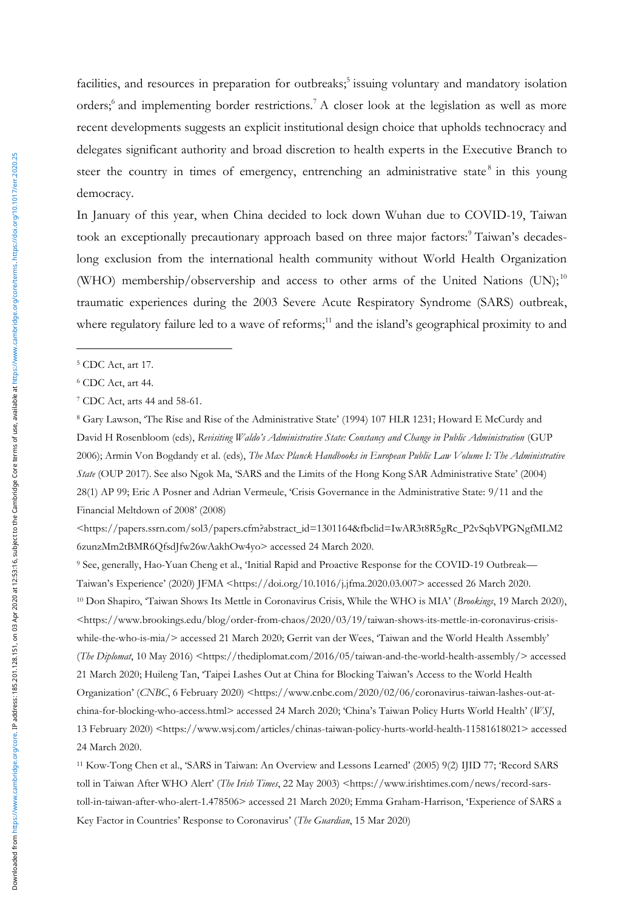facilities, and resources in preparation for outbreaks;<sup>5</sup> issuing voluntary and mandatory isolation orders;<sup>6</sup> and implementing border restrictions.<sup>7</sup> A closer look at the legislation as well as more recent developments suggests an explicit institutional design choice that upholds technocracy and delegates significant authority and broad discretion to health experts in the Executive Branch to steer the country in times of emergency, entrenching an administrative state<sup>8</sup> in this young democracy.

In January of this year, when China decided to lock down Wuhan due to COVID-19, Taiwan took an exceptionally precautionary approach based on three major factors:<sup>9</sup> Taiwan's decadeslong exclusion from the international health community without World Health Organization (WHO) membership/observership and access to other arms of the United Nations (UN);<sup>10</sup> traumatic experiences during the 2003 Severe Acute Respiratory Syndrome (SARS) outbreak, where regulatory failure led to a wave of reforms;<sup>11</sup> and the island's geographical proximity to and

 $\overline{a}$ 

<https://papers.ssrn.com/sol3/papers.cfm?abstract\_id=1301164&fbclid=IwAR3t8R5gRc\_P2vSqbVPGNgfMLM2 6zunzMm2tBMR6QfsdJfw26wAakhOw4yo> accessed 24 March 2020.

<sup>9</sup> See, generally, Hao-Yuan Cheng et al., 'Initial Rapid and Proactive Response for the COVID-19 Outbreak— Taiwan's Experience' (2020) JFMA <https://doi.org/10.1016/j.jfma.2020.03.007> accessed 26 March 2020. <sup>10</sup> Don Shapiro, 'Taiwan Shows Its Mettle in Coronavirus Crisis, While the WHO is MIA' (*Brookings*, 19 March 2020), <https://www.brookings.edu/blog/order-from-chaos/2020/03/19/taiwan-shows-its-mettle-in-coronavirus-crisiswhile-the-who-is-mia/> accessed 21 March 2020; Gerrit van der Wees, 'Taiwan and the World Health Assembly' (*The Diplomat*, 10 May 2016) <https://thediplomat.com/2016/05/taiwan-and-the-world-health-assembly/> accessed 21 March 2020; Huileng Tan, 'Taipei Lashes Out at China for Blocking Taiwan's Access to the World Health Organization' (CNBC, 6 February 2020) <https://www.cnbc.com/2020/02/06/coronavirus-taiwan-lashes-out-atchina-for-blocking-who-access.html> accessed 24 March 2020; 'China's Taiwan Policy Hurts World Health' (*WSJ*, 13 February 2020) <https://www.wsj.com/articles/chinas-taiwan-policy-hurts-world-health-11581618021> accessed 24 March 2020.

<sup>11</sup> Kow-Tong Chen et al., 'SARS in Taiwan: An Overview and Lessons Learned' (2005) 9(2) IJID 77; 'Record SARS toll in Taiwan After WHO Alert' (*The Irish Times*, 22 May 2003) <https://www.irishtimes.com/news/record-sarstoll-in-taiwan-after-who-alert-1.478506> accessed 21 March 2020; Emma Graham-Harrison, 'Experience of SARS a Key Factor in Countries' Response to Coronavirus' (*The Guardian*, 15 Mar 2020)

<sup>5</sup> CDC Act, art 17.

<sup>6</sup> CDC Act, art 44.

<sup>7</sup> CDC Act, arts 44 and 58-61.

<sup>8</sup> Gary Lawson, 'The Rise and Rise of the Administrative State' (1994) 107 HLR 1231; Howard E McCurdy and David H Rosenbloom (eds), *Revisiting Waldo's Administrative State: Constancy and Change in Public Administration* (GUP 2006); Armin Von Bogdandy et al. (eds), *The Max Planck Handbooks in European Public Law Volume I: The Administrative State* (OUP 2017). See also Ngok Ma, 'SARS and the Limits of the Hong Kong SAR Administrative State' (2004) 28(1) AP 99; Eric A Posner and Adrian Vermeule, 'Crisis Governance in the Administrative State: 9/11 and the Financial Meltdown of 2008' (2008)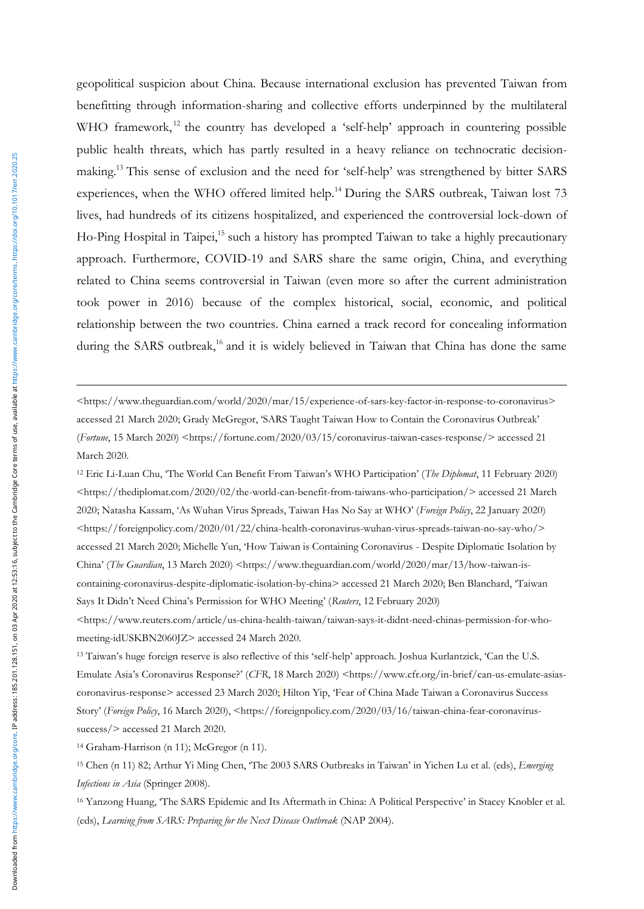geopolitical suspicion about China. Because international exclusion has prevented Taiwan from benefitting through information-sharing and collective efforts underpinned by the multilateral WHO framework,<sup>12</sup> the country has developed a 'self-help' approach in countering possible public health threats, which has partly resulted in a heavy reliance on technocratic decisionmaking.<sup>13</sup> This sense of exclusion and the need for 'self-help' was strengthened by bitter SARS experiences, when the WHO offered limited help.<sup>14</sup> During the SARS outbreak, Taiwan lost 73 lives, had hundreds of its citizens hospitalized, and experienced the controversial lock-down of Ho-Ping Hospital in Taipei,<sup>15</sup> such a history has prompted Taiwan to take a highly precautionary approach. Furthermore, COVID-19 and SARS share the same origin, China, and everything related to China seems controversial in Taiwan (even more so after the current administration took power in 2016) because of the complex historical, social, economic, and political relationship between the two countries. China earned a track record for concealing information during the SARS outbreak,<sup>16</sup> and it is widely believed in Taiwan that China has done the same

<https://www.theguardian.com/world/2020/mar/15/experience-of-sars-key-factor-in-response-to-coronavirus> accessed 21 March 2020; Grady McGregor, 'SARS Taught Taiwan How to Contain the Coronavirus Outbreak' (*Fortune*, 15 March 2020) <https://fortune.com/2020/03/15/coronavirus-taiwan-cases-response/> accessed 21 March 2020.

<sup>12</sup> Eric Li-Luan Chu, 'The World Can Benefit From Taiwan's WHO Participation' (*The Diplomat*, 11 February 2020) <https://thediplomat.com/2020/02/the-world-can-benefit-from-taiwans-who-participation/> accessed 21 March 2020; Natasha Kassam, 'As Wuhan Virus Spreads, Taiwan Has No Say at WHO' (*Foreign Policy*, 22 January 2020) <https://foreignpolicy.com/2020/01/22/china-health-coronavirus-wuhan-virus-spreads-taiwan-no-say-who/> accessed 21 March 2020; Michelle Yun, 'How Taiwan is Containing Coronavirus - Despite Diplomatic Isolation by China' (*The Guardian*, 13 March 2020) <https://www.theguardian.com/world/2020/mar/13/how-taiwan-iscontaining-coronavirus-despite-diplomatic-isolation-by-china> accessed 21 March 2020; Ben Blanchard, 'Taiwan Says It Didn't Need China's Permission for WHO Meeting' (*Reuters*, 12 February 2020)

<https://www.reuters.com/article/us-china-health-taiwan/taiwan-says-it-didnt-need-chinas-permission-for-whomeeting-idUSKBN2060JZ> accessed 24 March 2020.

<sup>13</sup> Taiwan's huge foreign reserve is also reflective of this 'self-help' approach. Joshua Kurlantzick, 'Can the U.S. Emulate Asia's Coronavirus Response?' (CFR, 18 March 2020) <https://www.cfr.org/in-brief/can-us-emulate-asiascoronavirus-response> accessed 23 March 2020; Hilton Yip, 'Fear of China Made Taiwan a Coronavirus Success Story' (*Foreign Policy*, 16 March 2020), <https://foreignpolicy.com/2020/03/16/taiwan-china-fear-coronavirussuccess/> accessed 21 March 2020.

<sup>14</sup> Graham-Harrison (n 11); McGregor (n 11).

<sup>15</sup> Chen (n 11) 82; Arthur Yi Ming Chen, 'The 2003 SARS Outbreaks in Taiwan' in Yichen Lu et al. (eds), *Emerging Infections in Asia* (Springer 2008).

<sup>16</sup> Yanzong Huang, 'The SARS Epidemic and Its Aftermath in China: A Political Perspective' in Stacey Knobler et al. (eds), *Learning from SARS: Preparing for the Next Disease Outbreak* (NAP 2004).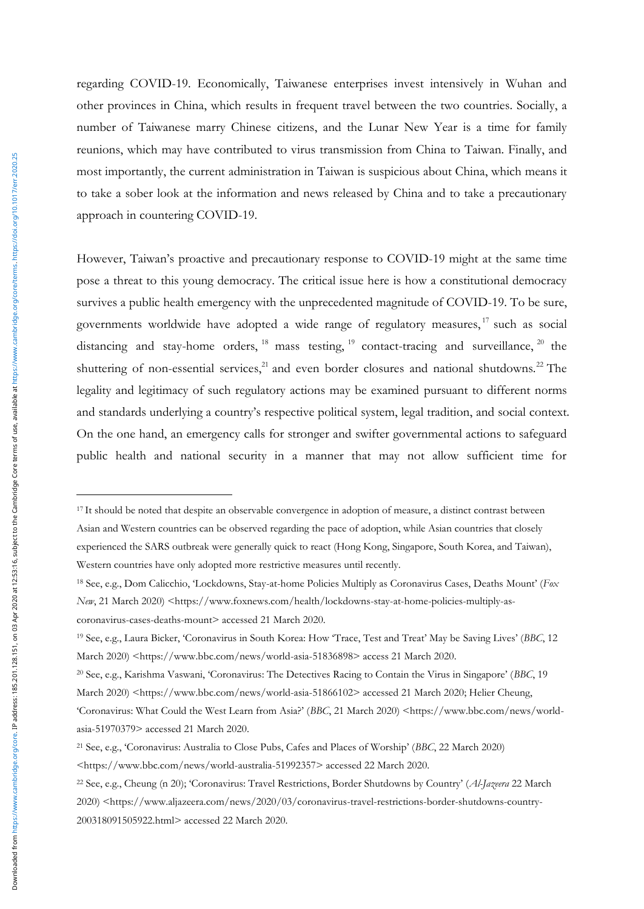regarding COVID-19. Economically, Taiwanese enterprises invest intensively in Wuhan and other provinces in China, which results in frequent travel between the two countries. Socially, a number of Taiwanese marry Chinese citizens, and the Lunar New Year is a time for family reunions, which may have contributed to virus transmission from China to Taiwan. Finally, and most importantly, the current administration in Taiwan is suspicious about China, which means it to take a sober look at the information and news released by China and to take a precautionary approach in countering COVID-19.

However, Taiwan's proactive and precautionary response to COVID-19 might at the same time pose a threat to this young democracy. The critical issue here is how a constitutional democracy survives a public health emergency with the unprecedented magnitude of COVID-19. To be sure, governments worldwide have adopted a wide range of regulatory measures,  $17$  such as social distancing and stay-home orders,  $18$  mass testing,  $19$  contact-tracing and surveillance,  $20$  the shuttering of non-essential services,<sup>21</sup> and even border closures and national shutdowns.<sup>22</sup> The legality and legitimacy of such regulatory actions may be examined pursuant to different norms and standards underlying a country's respective political system, legal tradition, and social context. On the one hand, an emergency calls for stronger and swifter governmental actions to safeguard public health and national security in a manner that may not allow sufficient time for

<sup>&</sup>lt;sup>17</sup> It should be noted that despite an observable convergence in adoption of measure, a distinct contrast between Asian and Western countries can be observed regarding the pace of adoption, while Asian countries that closely experienced the SARS outbreak were generally quick to react (Hong Kong, Singapore, South Korea, and Taiwan), Western countries have only adopted more restrictive measures until recently.

<sup>18</sup> See, e.g., Dom Calicchio, 'Lockdowns, Stay-at-home Policies Multiply as Coronavirus Cases, Deaths Mount' (*Fox New*, 21 March 2020) <https://www.foxnews.com/health/lockdowns-stay-at-home-policies-multiply-as-

coronavirus-cases-deaths-mount> accessed 21 March 2020.

<sup>19</sup> See, e.g., Laura Bicker, 'Coronavirus in South Korea: How 'Trace, Test and Treat' May be Saving Lives' (*BBC*, 12 March 2020) <https://www.bbc.com/news/world-asia-51836898> access 21 March 2020.

<sup>20</sup> See, e.g., Karishma Vaswani, 'Coronavirus: The Detectives Racing to Contain the Virus in Singapore' (*BBC*, 19 March 2020) <https://www.bbc.com/news/world-asia-51866102> accessed 21 March 2020; Helier Cheung,

<sup>&#</sup>x27;Coronavirus: What Could the West Learn from Asia?' (*BBC*, 21 March 2020) <https://www.bbc.com/news/worldasia-51970379> accessed 21 March 2020.

<sup>21</sup> See, e.g., 'Coronavirus: Australia to Close Pubs, Cafes and Places of Worship' (*BBC*, 22 March 2020) <https://www.bbc.com/news/world-australia-51992357> accessed 22 March 2020.

<sup>22</sup> See, e.g., Cheung (n 20); 'Coronavirus: Travel Restrictions, Border Shutdowns by Country' (*Al-Jazeera* 22 March 2020) <https://www.aljazeera.com/news/2020/03/coronavirus-travel-restrictions-border-shutdowns-country-200318091505922.html> accessed 22 March 2020.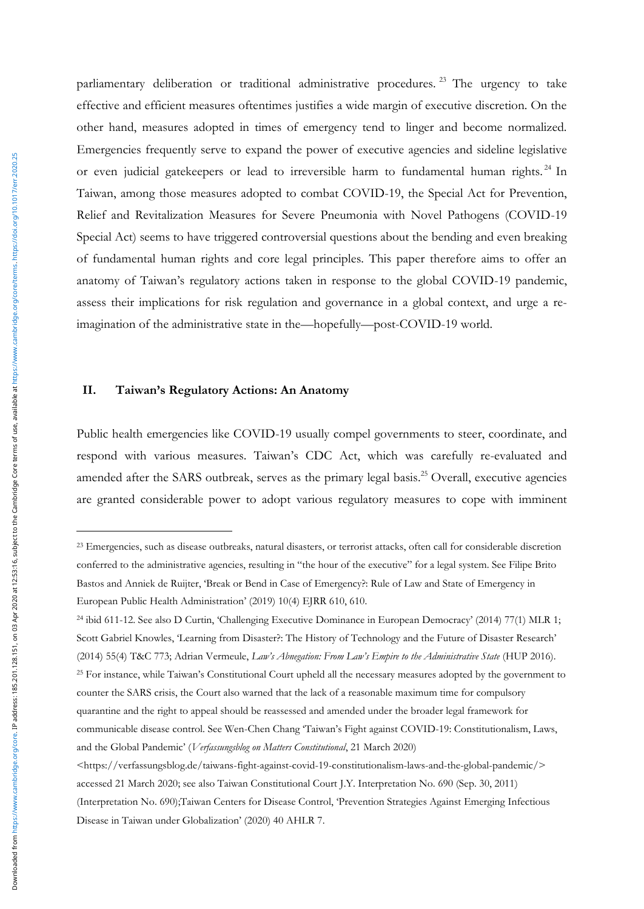parliamentary deliberation or traditional administrative procedures.<sup>23</sup> The urgency to take effective and efficient measures oftentimes justifies a wide margin of executive discretion. On the other hand, measures adopted in times of emergency tend to linger and become normalized. Emergencies frequently serve to expand the power of executive agencies and sideline legislative or even judicial gatekeepers or lead to irreversible harm to fundamental human rights.<sup>24</sup> In Taiwan, among those measures adopted to combat COVID-19, the Special Act for Prevention, Relief and Revitalization Measures for Severe Pneumonia with Novel Pathogens (COVID-19 Special Act) seems to have triggered controversial questions about the bending and even breaking of fundamental human rights and core legal principles. This paper therefore aims to offer an anatomy of Taiwan's regulatory actions taken in response to the global COVID-19 pandemic, assess their implications for risk regulation and governance in a global context, and urge a reimagination of the administrative state in the—hopefully—post-COVID-19 world.

## **II. Taiwan's Regulatory Actions: An Anatomy**

Public health emergencies like COVID-19 usually compel governments to steer, coordinate, and respond with various measures. Taiwan's CDC Act, which was carefully re-evaluated and amended after the SARS outbreak, serves as the primary legal basis.<sup>25</sup> Overall, executive agencies are granted considerable power to adopt various regulatory measures to cope with imminent

<sup>&</sup>lt;sup>23</sup> Emergencies, such as disease outbreaks, natural disasters, or terrorist attacks, often call for considerable discretion conferred to the administrative agencies, resulting in "the hour of the executive" for a legal system. See Filipe Brito Bastos and Anniek de Ruijter, 'Break or Bend in Case of Emergency?: Rule of Law and State of Emergency in European Public Health Administration' (2019) 10(4) EJRR 610, 610.

<sup>&</sup>lt;sup>24</sup> ibid 611-12. See also D Curtin, 'Challenging Executive Dominance in European Democracy' (2014) 77(1) MLR 1; Scott Gabriel Knowles, 'Learning from Disaster?: The History of Technology and the Future of Disaster Research' (2014) 55(4) T&C 773; Adrian Vermeule, *Law's Abnegation: From Law's Empire to the Administrative State* (HUP 2016).

<sup>&</sup>lt;sup>25</sup> For instance, while Taiwan's Constitutional Court upheld all the necessary measures adopted by the government to counter the SARS crisis, the Court also warned that the lack of a reasonable maximum time for compulsory quarantine and the right to appeal should be reassessed and amended under the broader legal framework for

communicable disease control. See Wen-Chen Chang 'Taiwan's Fight against COVID-19: Constitutionalism, Laws, and the Global Pandemic' (*Verfassungsblog on Matters Constitutional*, 21 March 2020)

<sup>&</sup>lt;https://verfassungsblog.de/taiwans-fight-against-covid-19-constitutionalism-laws-and-the-global-pandemic/> accessed 21 March 2020; see also Taiwan Constitutional Court J.Y. Interpretation No. 690 (Sep. 30, 2011) (Interpretation No. 690);Taiwan Centers for Disease Control, 'Prevention Strategies Against Emerging Infectious Disease in Taiwan under Globalization' (2020) 40 AHLR 7.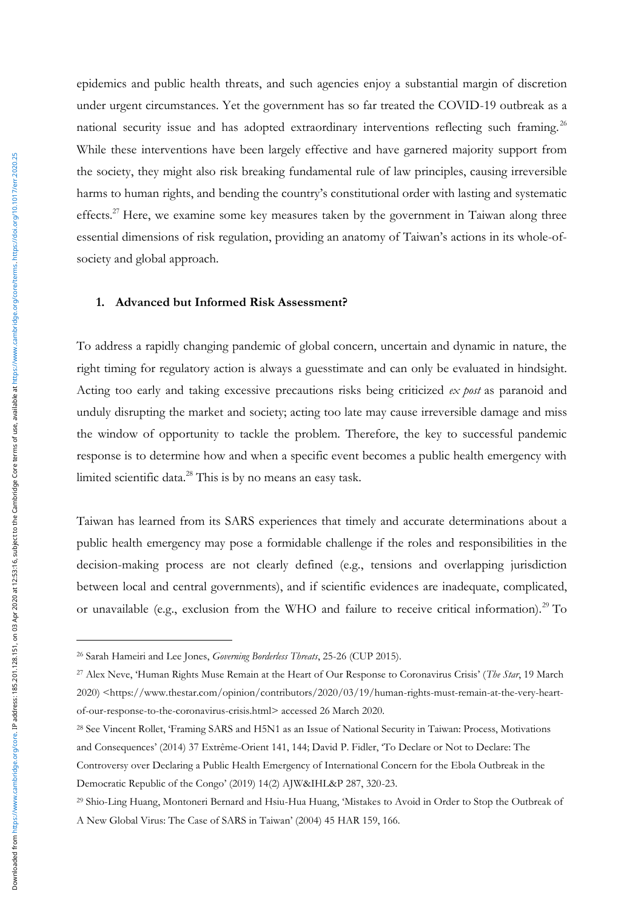epidemics and public health threats, and such agencies enjoy a substantial margin of discretion under urgent circumstances. Yet the government has so far treated the COVID-19 outbreak as a national security issue and has adopted extraordinary interventions reflecting such framing.<sup>26</sup> While these interventions have been largely effective and have garnered majority support from the society, they might also risk breaking fundamental rule of law principles, causing irreversible harms to human rights, and bending the country's constitutional order with lasting and systematic effects.<sup>27</sup> Here, we examine some key measures taken by the government in Taiwan along three essential dimensions of risk regulation, providing an anatomy of Taiwan's actions in its whole-ofsociety and global approach.

## **1. Advanced but Informed Risk Assessment?**

To address a rapidly changing pandemic of global concern, uncertain and dynamic in nature, the right timing for regulatory action is always a guesstimate and can only be evaluated in hindsight. Acting too early and taking excessive precautions risks being criticized *ex post* as paranoid and unduly disrupting the market and society; acting too late may cause irreversible damage and miss the window of opportunity to tackle the problem. Therefore, the key to successful pandemic response is to determine how and when a specific event becomes a public health emergency with limited scientific data.<sup>28</sup> This is by no means an easy task.

Taiwan has learned from its SARS experiences that timely and accurate determinations about a public health emergency may pose a formidable challenge if the roles and responsibilities in the decision-making process are not clearly defined (e.g., tensions and overlapping jurisdiction between local and central governments), and if scientific evidences are inadequate, complicated, or unavailable (e.g., exclusion from the WHO and failure to receive critical information).<sup>29</sup> To

<sup>26</sup> Sarah Hameiri and Lee Jones, *Governing Borderless Threats*, 25-26 (CUP 2015).

<sup>27</sup> Alex Neve, 'Human Rights Muse Remain at the Heart of Our Response to Coronavirus Crisis' (*The Star*, 19 March 2020) <https://www.thestar.com/opinion/contributors/2020/03/19/human-rights-must-remain-at-the-very-heartof-our-response-to-the-coronavirus-crisis.html> accessed 26 March 2020.

<sup>28</sup> See Vincent Rollet, 'Framing SARS and H5N1 as an Issue of National Security in Taiwan: Process, Motivations and Consequences' (2014) 37 Extrême-Orient 141, 144; David P. Fidler, 'To Declare or Not to Declare: The Controversy over Declaring a Public Health Emergency of International Concern for the Ebola Outbreak in the Democratic Republic of the Congo' (2019) 14(2) AJW&IHL&P 287, 320-23.

<sup>29</sup> Shio-Ling Huang, Montoneri Bernard and Hsiu-Hua Huang, 'Mistakes to Avoid in Order to Stop the Outbreak of A New Global Virus: The Case of SARS in Taiwan' (2004) 45 HAR 159, 166.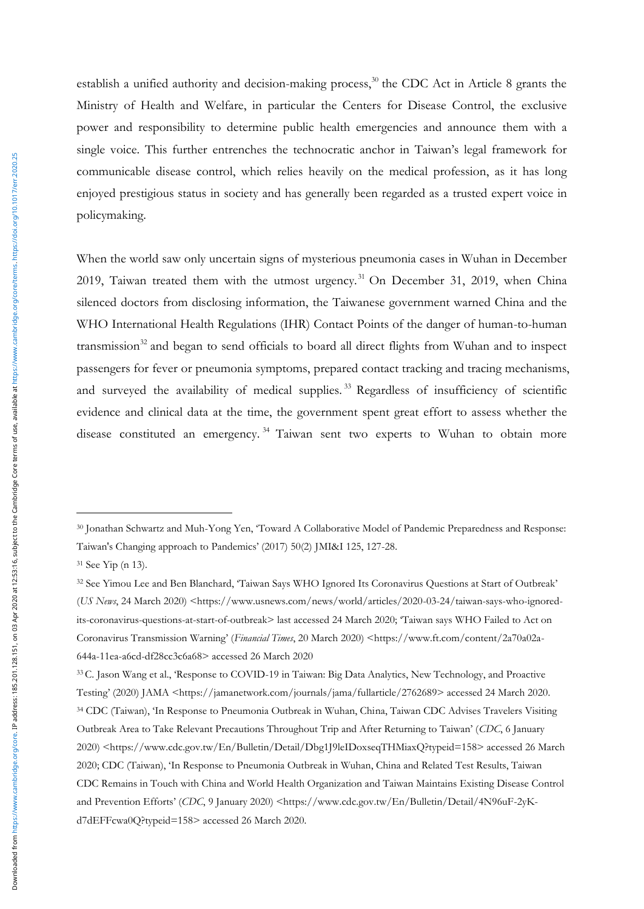establish a unified authority and decision-making process, $30$  the CDC Act in Article 8 grants the Ministry of Health and Welfare, in particular the Centers for Disease Control, the exclusive power and responsibility to determine public health emergencies and announce them with a single voice. This further entrenches the technocratic anchor in Taiwan's legal framework for communicable disease control, which relies heavily on the medical profession, as it has long enjoyed prestigious status in society and has generally been regarded as a trusted expert voice in policymaking.

When the world saw only uncertain signs of mysterious pneumonia cases in Wuhan in December 2019, Taiwan treated them with the utmost urgency.<sup>31</sup> On December 31, 2019, when China silenced doctors from disclosing information, the Taiwanese government warned China and the WHO International Health Regulations (IHR) Contact Points of the danger of human-to-human transmission<sup>32</sup> and began to send officials to board all direct flights from Wuhan and to inspect passengers for fever or pneumonia symptoms, prepared contact tracking and tracing mechanisms, and surveyed the availability of medical supplies.<sup>33</sup> Regardless of insufficiency of scientific evidence and clinical data at the time, the government spent great effort to assess whether the disease constituted an emergency. <sup>34</sup> Taiwan sent two experts to Wuhan to obtain more

<sup>30</sup> Jonathan Schwartz and Muh-Yong Yen, 'Toward A Collaborative Model of Pandemic Preparedness and Response: Taiwan's Changing approach to Pandemics' (2017) 50(2) [JMI&I](https://www.sciencedirect.com/science/journal/16841182) 125, 127-28.

<sup>31</sup> See Yip (n 13).

<sup>32</sup> See Yimou Lee and Ben Blanchard, 'Taiwan Says WHO Ignored Its Coronavirus Questions at Start of Outbreak' (*US News*, 24 March 2020) <https://www.usnews.com/news/world/articles/2020-03-24/taiwan-says-who-ignoredits-coronavirus-questions-at-start-of-outbreak> last accessed 24 March 2020; 'Taiwan says WHO Failed to Act on Coronavirus Transmission Warning' (*Financial Times*, 20 March 2020) <https://www.ft.com/content/2a70a02a-644a-11ea-a6cd-df28cc3c6a68> accessed 26 March 2020

<sup>33</sup> C. Jason Wang et al., 'Response to COVID-19 in Taiwan: Big Data Analytics, New Technology, and Proactive Testing' (2020) JAMA <https://jamanetwork.com/journals/jama/fullarticle/2762689> accessed 24 March 2020. <sup>34</sup> CDC (Taiwan), 'In Response to Pneumonia Outbreak in Wuhan, China, Taiwan CDC Advises Travelers Visiting Outbreak Area to Take Relevant Precautions Throughout Trip and After Returning to Taiwan' (*CDC*, 6 January 2020) <https://www.cdc.gov.tw/En/Bulletin/Detail/Dbg1J9leIDoxseqTHMiaxQ?typeid=158> accessed 26 March 2020; CDC (Taiwan), 'In Response to Pneumonia Outbreak in Wuhan, China and Related Test Results, Taiwan CDC Remains in Touch with China and World Health Organization and Taiwan Maintains Existing Disease Control and Prevention Efforts' (CDC, 9 January 2020) <https://www.cdc.gov.tw/En/Bulletin/Detail/4N96uF-2yKd7dEFFcwa0Q?typeid=158> accessed 26 March 2020.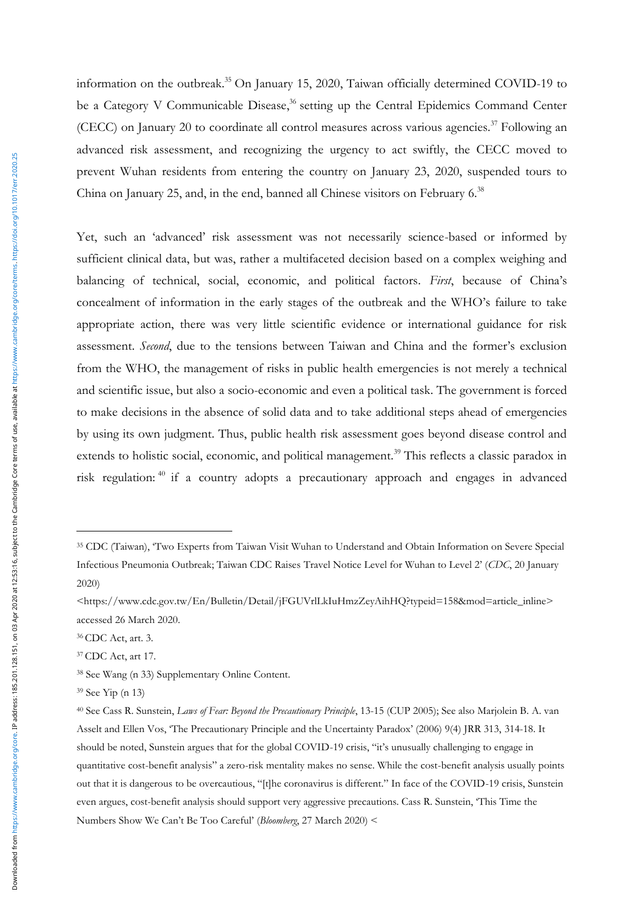information on the outbreak.<sup>35</sup> On January 15, 2020, Taiwan officially determined COVID-19 to be a Category V Communicable Disease, <sup>36</sup> setting up the Central Epidemics Command Center (CECC) on January 20 to coordinate all control measures across various agencies.<sup>37</sup> Following an advanced risk assessment, and recognizing the urgency to act swiftly, the CECC moved to prevent Wuhan residents from entering the country on January 23, 2020, suspended tours to China on January 25, and, in the end, banned all Chinese visitors on February 6.<sup>38</sup>

Yet, such an 'advanced' risk assessment was not necessarily science-based or informed by sufficient clinical data, but was, rather a multifaceted decision based on a complex weighing and balancing of technical, social, economic, and political factors. *First*, because of China's concealment of information in the early stages of the outbreak and the WHO's failure to take appropriate action, there was very little scientific evidence or international guidance for risk assessment. *Second*, due to the tensions between Taiwan and China and the former's exclusion from the WHO, the management of risks in public health emergencies is not merely a technical and scientific issue, but also a socio-economic and even a political task. The government is forced to make decisions in the absence of solid data and to take additional steps ahead of emergencies by using its own judgment. Thus, public health risk assessment goes beyond disease control and extends to holistic social, economic, and political management.<sup>39</sup> This reflects a classic paradox in risk regulation: <sup>40</sup> if a country adopts a precautionary approach and engages in advanced

<sup>35</sup> CDC (Taiwan), 'Two Experts from Taiwan Visit Wuhan to Understand and Obtain Information on Severe Special Infectious Pneumonia Outbreak; Taiwan CDC Raises Travel Notice Level for Wuhan to Level 2' (*CDC*, 20 January 2020)

<sup>&</sup>lt;https://www.cdc.gov.tw/En/Bulletin/Detail/jFGUVrlLkIuHmzZeyAihHQ?typeid=158&mod=article\_inline> accessed 26 March 2020.

<sup>36</sup> CDC Act, art. 3.

<sup>37</sup> CDC Act, art 17.

<sup>38</sup> See Wang (n 33) Supplementary Online Content.

<sup>39</sup> See Yip (n 13)

<sup>&</sup>lt;sup>40</sup> See Cass R. Sunstein, *Laws of Fear: Beyond the Precautionary Principle*, 13-15 (CUP 2005); See also Marjolein B. A. van Asselt and Ellen Vos, 'The Precautionary Principle and the Uncertainty Paradox' (2006) 9(4) JRR 313, 314-18. It should be noted, Sunstein argues that for the global COVID-19 crisis, "it's unusually challenging to engage in quantitative cost-benefit analysis" a zero-risk mentality makes no sense. While the cost-benefit analysis usually points out that it is dangerous to be overcautious, "[t]he coronavirus is different." In face of the COVID-19 crisis, Sunstein even argues, cost-benefit analysis should support very aggressive precautions. Cass R. Sunstein, 'This Time the Numbers Show We Can't Be Too Careful' (*Bloomberg*, 27 March 2020) <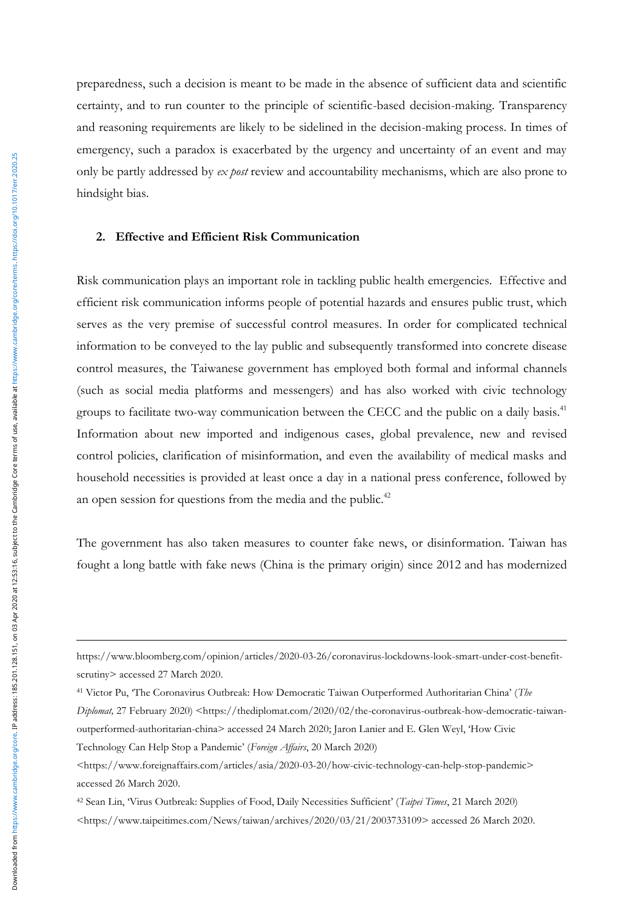preparedness, such a decision is meant to be made in the absence of sufficient data and scientific certainty, and to run counter to the principle of scientific-based decision-making. Transparency and reasoning requirements are likely to be sidelined in the decision-making process. In times of emergency, such a paradox is exacerbated by the urgency and uncertainty of an event and may only be partly addressed by *ex post* review and accountability mechanisms, which are also prone to hindsight bias.

# **2. Effective and Efficient Risk Communication**

Risk communication plays an important role in tackling public health emergencies. Effective and efficient risk communication informs people of potential hazards and ensures public trust, which serves as the very premise of successful control measures. In order for complicated technical information to be conveyed to the lay public and subsequently transformed into concrete disease control measures, the Taiwanese government has employed both formal and informal channels (such as social media platforms and messengers) and has also worked with civic technology groups to facilitate two-way communication between the CECC and the public on a daily basis.<sup>41</sup> Information about new imported and indigenous cases, global prevalence, new and revised control policies, clarification of misinformation, and even the availability of medical masks and household necessities is provided at least once a day in a national press conference, followed by an open session for questions from the media and the public.<sup>42</sup>

The government has also taken measures to counter fake news, or disinformation. Taiwan has fought a long battle with fake news (China is the primary origin) since 2012 and has modernized

https://www.bloomberg.com/opinion/articles/2020-03-26/coronavirus-lockdowns-look-smart-under-cost-benefitscrutiny> accessed 27 March 2020.

<sup>41</sup> Victor Pu, 'The Coronavirus Outbreak: How Democratic Taiwan Outperformed Authoritarian China' (*The Diplomat,* 27 February 2020) <https://thediplomat.com/2020/02/the-coronavirus-outbreak-how-democratic-taiwanoutperformed-authoritarian-china> accessed 24 March 2020; Jaron Lanier and E. Glen Weyl, 'How Civic Technology Can Help Stop a Pandemic' (*Foreign Affairs*, 20 March 2020)

<sup>&</sup>lt;https://www.foreignaffairs.com/articles/asia/2020-03-20/how-civic-technology-can-help-stop-pandemic> accessed 26 March 2020.

<sup>42</sup> Sean Lin, 'Virus Outbreak: Supplies of Food, Daily Necessities Sufficient' (*Taipei Times*, 21 March 2020) <https://www.taipeitimes.com/News/taiwan/archives/2020/03/21/2003733109> accessed 26 March 2020.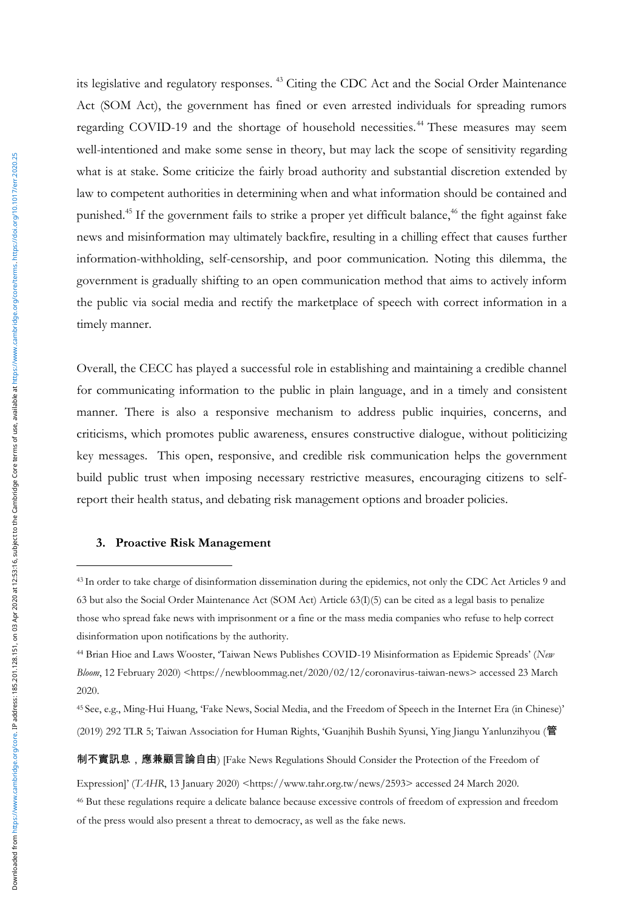its legislative and regulatory responses. <sup>43</sup> Citing the CDC Act and the Social Order Maintenance Act (SOM Act), the government has fined or even arrested individuals for spreading rumors regarding COVID-19 and the shortage of household necessities.<sup>44</sup> These measures may seem well-intentioned and make some sense in theory, but may lack the scope of sensitivity regarding what is at stake. Some criticize the fairly broad authority and substantial discretion extended by law to competent authorities in determining when and what information should be contained and punished.<sup>45</sup> If the government fails to strike a proper yet difficult balance,<sup>46</sup> the fight against fake news and misinformation may ultimately backfire, resulting in a chilling effect that causes further information-withholding, self-censorship, and poor communication. Noting this dilemma, the government is gradually shifting to an open communication method that aims to actively inform the public via social media and rectify the marketplace of speech with correct information in a timely manner.

Overall, the CECC has played a successful role in establishing and maintaining a credible channel for communicating information to the public in plain language, and in a timely and consistent manner. There is also a responsive mechanism to address public inquiries, concerns, and criticisms, which promotes public awareness, ensures constructive dialogue, without politicizing key messages. This open, responsive, and credible risk communication helps the government build public trust when imposing necessary restrictive measures, encouraging citizens to selfreport their health status, and debating risk management options and broader policies.

#### **3. Proactive Risk Management**

制不實訊息,應兼顧言論自由) [Fake News Regulations Should Consider the Protection of the Freedom of Expression]' (TAHR, 13 January 2020) <https://www.tahr.org.tw/news/2593> accessed 24 March 2020. <sup>46</sup> But these regulations require a delicate balance because excessive controls of freedom of expression and freedom of the press would also present a threat to democracy, as well as the fake news.

<sup>43</sup> In order to take charge of disinformation dissemination during the epidemics, not only the CDC Act Articles 9 and 63 but also the Social Order Maintenance Act (SOM Act) Article 63(I)(5) can be cited as a legal basis to penalize those who spread fake news with imprisonment or a fine or the mass media companies who refuse to help correct disinformation upon notifications by the authority.

<sup>44</sup> Brian Hioe and Laws Wooster, 'Taiwan News Publishes COVID-19 Misinformation as Epidemic Spreads' (*New*  Bloom, 12 February 2020) <https://newbloommag.net/2020/02/12/coronavirus-taiwan-news> accessed 23 March 2020.

<sup>45</sup> See, e.g., Ming-Hui Huang, 'Fake News, Social Media, and the Freedom of Speech in the Internet Era (in Chinese)' (2019) 292 TLR 5; Taiwan Association for Human Rights, 'Guanjhih Bushih Syunsi, Ying Jiangu Yanlunzihyou (管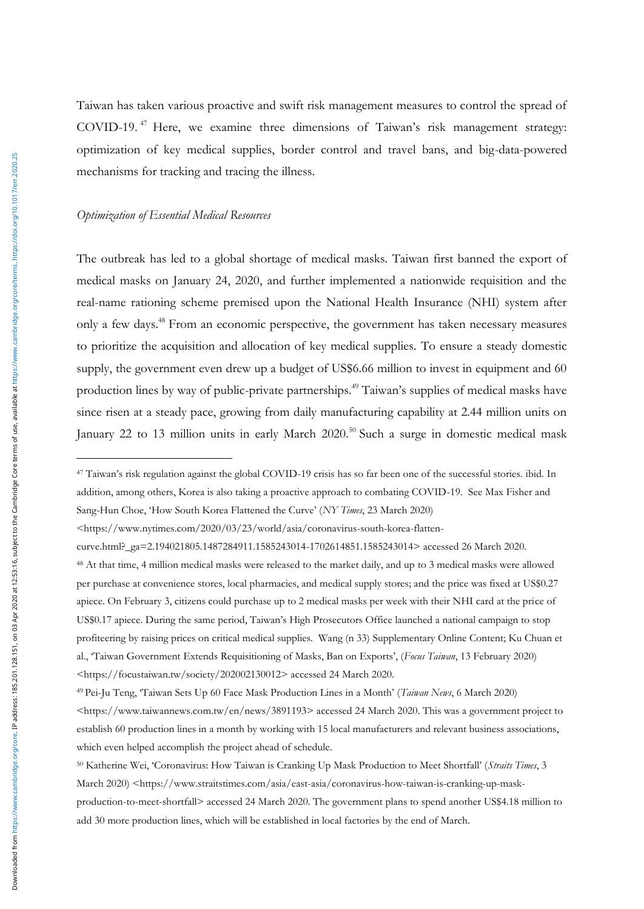Taiwan has taken various proactive and swift risk management measures to control the spread of COVID-19.<sup>47</sup> Here, we examine three dimensions of Taiwan's risk management strategy: optimization of key medical supplies, border control and travel bans, and big-data-powered mechanisms for tracking and tracing the illness.

#### *Optimization of Essential Medical Resources*

The outbreak has led to a global shortage of medical masks. Taiwan first banned the export of medical masks on January 24, 2020, and further implemented a nationwide requisition and the real-name rationing scheme premised upon the National Health Insurance (NHI) system after only a few days.<sup>48</sup> From an economic perspective, the government has taken necessary measures to prioritize the acquisition and allocation of key medical supplies. To ensure a steady domestic supply, the government even drew up a budget of US\$6.66 million to invest in equipment and 60 production lines by way of public-private partnerships. <sup>49</sup> Taiwan's supplies of medical masks have since risen at a steady pace, growing from daily manufacturing capability at 2.44 million units on January 22 to 13 million units in early March 2020.<sup>50</sup> Such a surge in domestic medical mask

<sup>&</sup>lt;sup>47</sup> Taiwan's risk regulation against the global COVID-19 crisis has so far been one of the successful stories. ibid. In addition, among others, Korea is also taking a proactive approach to combating COVID-19. See Max Fisher and

Sang-Hun Choe, 'How South Korea Flattened the Curve' (*NY Times*, 23 March 2020)

<sup>&</sup>lt;https://www.nytimes.com/2020/03/23/world/asia/coronavirus-south-korea-flatten-

curve.html?\_ga=2.194021805.1487284911.1585243014-1702614851.1585243014> accessed 26 March 2020.

<sup>48</sup> At that time, 4 million medical masks were released to the market daily, and up to 3 medical masks were allowed per purchase at convenience stores, local pharmacies, and medical supply stores; and the price was fixed at US\$0.27 apiece. On February 3, citizens could purchase up to 2 medical masks per week with their NHI card at the price of US\$0.17 apiece. During the same period, Taiwan's High Prosecutors Office launched a national campaign to stop profiteering by raising prices on critical medical supplies. Wang (n 33) Supplementary Online Content; Ku Chuan et al., 'Taiwan Government Extends Requisitioning of Masks, Ban on Exports', (*Focus Taiwan*, 13 February 2020) <https://focustaiwan.tw/society/202002130012> accessed 24 March 2020.

<sup>49</sup> Pei-Ju Teng, 'Taiwan Sets Up 60 Face Mask Production Lines in a Month' (*Taiwan News*, 6 March 2020)

<sup>&</sup>lt;https://www.taiwannews.com.tw/en/news/3891193> accessed 24 March 2020. This was a government project to establish 60 production lines in a month by working with 15 local manufacturers and relevant business associations, which even helped accomplish the project ahead of schedule.

<sup>50</sup> Katherine Wei, 'Coronavirus: How Taiwan is Cranking Up Mask Production to Meet Shortfall' (*Straits Times*, 3 March 2020) <https://www.straitstimes.com/asia/east-asia/coronavirus-how-taiwan-is-cranking-up-maskproduction-to-meet-shortfall> accessed 24 March 2020. The government plans to spend another US\$4.18 million to add 30 more production lines, which will be established in local factories by the end of March.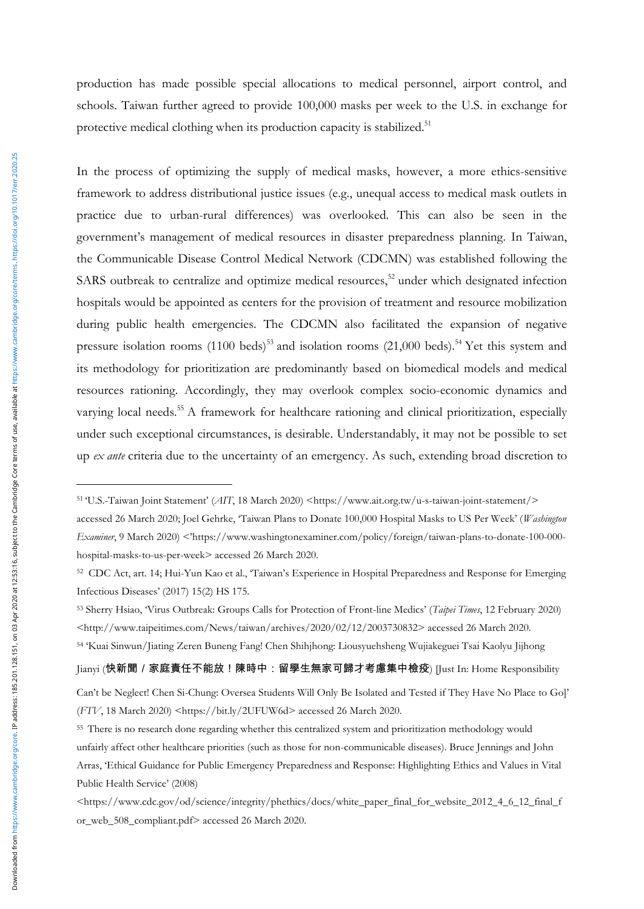production has made possible special allocations to medical personnel, airport control, and schools. Taiwan further agreed to provide 100,000 masks per week to the U.S. in exchange for protective medical clothing when its production capacity is stabilized.<sup>51</sup>

In the process of optimizing the supply of medical masks, however, a more ethics-sensitive framework to address distributional justice issues (e.g., unequal access to medical mask outlets in practice due to urban-rural differences) was overlooked. This can also be seen in the government's management of medical resources in disaster preparedness planning. In Taiwan, the Communicable Disease Control Medical Network (CDCMN) was established following the SARS outbreak to centralize and optimize medical resources,<sup>52</sup> under which designated infection hospitals would be appointed as centers for the provision of treatment and resource mobilization during public health emergencies. The CDCMN also facilitated the expansion of negative pressure isolation rooms  $(1100 \text{ beds})^{53}$  and isolation rooms  $(21,000 \text{ beds})^{54}$  Yet this system and its methodology for prioritization are predominantly based on biomedical models and medical resources rationing. Accordingly, they may overlook complex socio-economic dynamics and varying local needs.<sup>55</sup> A framework for healthcare rationing and clinical prioritization, especially under such exceptional circumstances, is desirable. Understandably, it may not be possible to set up *ex ante* criteria due to the uncertainty of an emergency. As such, extending broad discretion to

Tianyi (快新聞 / 家庭責任不能放!陳時中: 留學生無家可歸才考慮集中檢疫) [Just In: Home Responsibility

Can't be Neglect! Chen Si-Chung: Oversea Students Will Only Be Isolated and Tested if They Have No Place to Go]' (*FTV*, 18 March 2020) <https://bit.ly/2UFUW6d> accessed 26 March 2020.

<sup>51</sup> 'U.S.-Taiwan Joint Statement' (*AIT*, 18 March 2020) <https://www.ait.org.tw/u-s-taiwan-joint-statement/>

accessed 26 March 2020; Joel Gehrke, 'Taiwan Plans to Donate 100,000 Hospital Masks to US Per Week' (*Washington Examiner*, 9 March 2020) <'https://www.washingtonexaminer.com/policy/foreign/taiwan-plans-to-donate-100-000 hospital-masks-to-us-per-week> accessed 26 March 2020.

<sup>52</sup> CDC Act, art. 14; Hui-Yun Kao et al., 'Taiwan's Experience in Hospital Preparedness and Response for Emerging Infectious Diseases' (2017) 15(2) HS 175.

<sup>53</sup> Sherry Hsiao, 'Virus Outbreak: Groups Calls for Protection of Front-line Medics' (*Taipei Times*, 12 February 2020) <http://www.taipeitimes.com/News/taiwan/archives/2020/02/12/2003730832> accessed 26 March 2020. <sup>54</sup> 'Kuai Sinwun/Jiating Zeren Buneng Fang! Chen Shihjhong: Liousyuehsheng Wujiakeguei Tsai Kaolyu Jijhong

<sup>55</sup> There is no research done regarding whether this centralized system and prioritization methodology would unfairly affect other healthcare priorities (such as those for non-communicable diseases). Bruce Jennings and John Arras, 'Ethical Guidance for Public Emergency Preparedness and Response: Highlighting Ethics and Values in Vital Public Health Service' (2008)

 $\lt$ https://www.cdc.gov/od/science/integrity/phethics/docs/white\_paper\_final\_for\_website\_2012\_4\_6\_12\_final\_f or\_web\_508\_compliant.pdf> accessed 26 March 2020.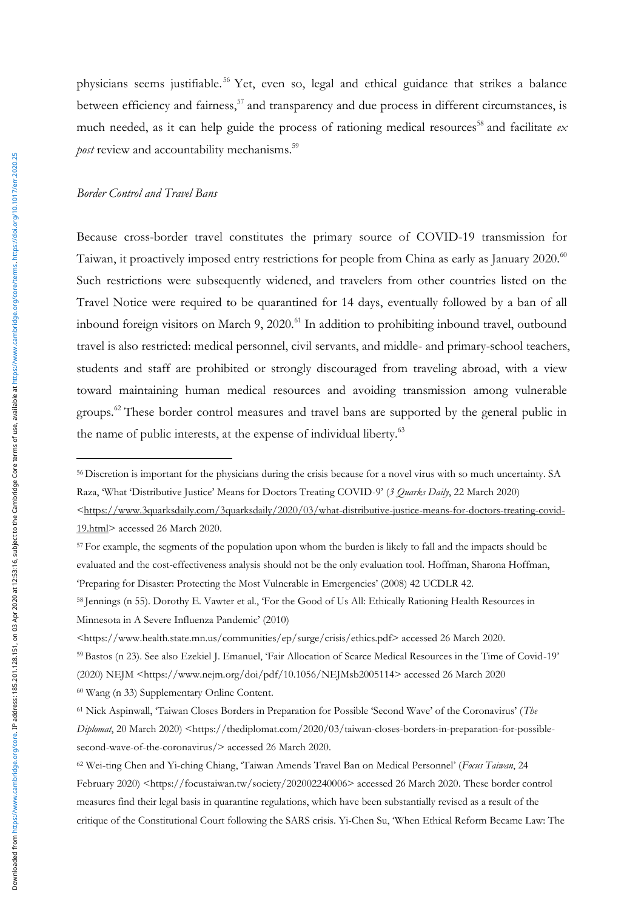physicians seems justifiable. <sup>56</sup> Yet, even so, legal and ethical guidance that strikes a balance between efficiency and fairness,<sup>57</sup> and transparency and due process in different circumstances, is much needed, as it can help guide the process of rationing medical resources<sup>58</sup> and facilitate  $ex$ post review and accountability mechanisms.<sup>59</sup>

#### *Border Control and Travel Bans*

Because cross-border travel constitutes the primary source of COVID-19 transmission for Taiwan, it proactively imposed entry restrictions for people from China as early as January 2020.<sup>60</sup> Such restrictions were subsequently widened, and travelers from other countries listed on the Travel Notice were required to be quarantined for 14 days, eventually followed by a ban of all inbound foreign visitors on March 9, 2020.<sup>61</sup> In addition to prohibiting inbound travel, outbound travel is also restricted: medical personnel, civil servants, and middle- and primary-school teachers, students and staff are prohibited or strongly discouraged from traveling abroad, with a view toward maintaining human medical resources and avoiding transmission among vulnerable groups.<sup>62</sup> These border control measures and travel bans are supported by the general public in the name of public interests, at the expense of individual liberty.<sup>63</sup>

<sup>56</sup> Discretion is important for the physicians during the crisis because for a novel virus with so much uncertainty. SA Raza, 'What 'Distributive Justice' Means for Doctors Treating COVID-9' (*3 Quarks Daily*, 22 March 2020)

[<sup>&</sup>lt;https://www.3quarksdaily.com/3quarksdaily/2020/03/what-distributive-justice-means-for-doctors-treating-covid-](https://www.3quarksdaily.com/3quarksdaily/2020/03/what-distributive-justice-means-for-doctors-treating-covid-19.html)[19.html>](https://www.3quarksdaily.com/3quarksdaily/2020/03/what-distributive-justice-means-for-doctors-treating-covid-19.html) accessed 26 March 2020.

<sup>&</sup>lt;sup>57</sup> For example, the segments of the population upon whom the burden is likely to fall and the impacts should be evaluated and the cost-effectiveness analysis should not be the only evaluation tool. Hoffman, Sharona Hoffman, 'Preparing for Disaster: Protecting the Most Vulnerable in Emergencies' (2008) 42 UCDLR 42.

<sup>58</sup> Jennings (n 55). Dorothy E. Vawter et al., 'For the Good of Us All: Ethically Rationing Health Resources in Minnesota in A Severe Influenza Pandemic' (2010)

<sup>&</sup>lt;https://www.health.state.mn.us/communities/ep/surge/crisis/ethics.pdf> accessed 26 March 2020.

<sup>59</sup> Bastos (n 23). See also Ezekiel J. Emanuel, 'Fair Allocation of Scarce Medical Resources in the Time of Covid-19' (2020) NEJM <https://www.nejm.org/doi/pdf/10.1056/NEJMsb2005114> accessed 26 March 2020 <sup>60</sup> Wang (n 33) Supplementary Online Content.

<sup>61</sup> Nick Aspinwall, 'Taiwan Closes Borders in Preparation for Possible 'Second Wave' of the Coronavirus' (*The Diplomat*, 20 March 2020) <https://thediplomat.com/2020/03/taiwan-closes-borders-in-preparation-for-possiblesecond-wave-of-the-coronavirus/> accessed 26 March 2020.

<sup>62</sup> Wei-ting Chen and Yi-ching Chiang, 'Taiwan Amends Travel Ban on Medical Personnel' (*Focus Taiwan*, 24 February 2020) <https://focustaiwan.tw/society/202002240006> accessed 26 March 2020. These border control measures find their legal basis in quarantine regulations, which have been substantially revised as a result of the critique of the Constitutional Court following the SARS crisis. Yi-Chen Su, 'When Ethical Reform Became Law: The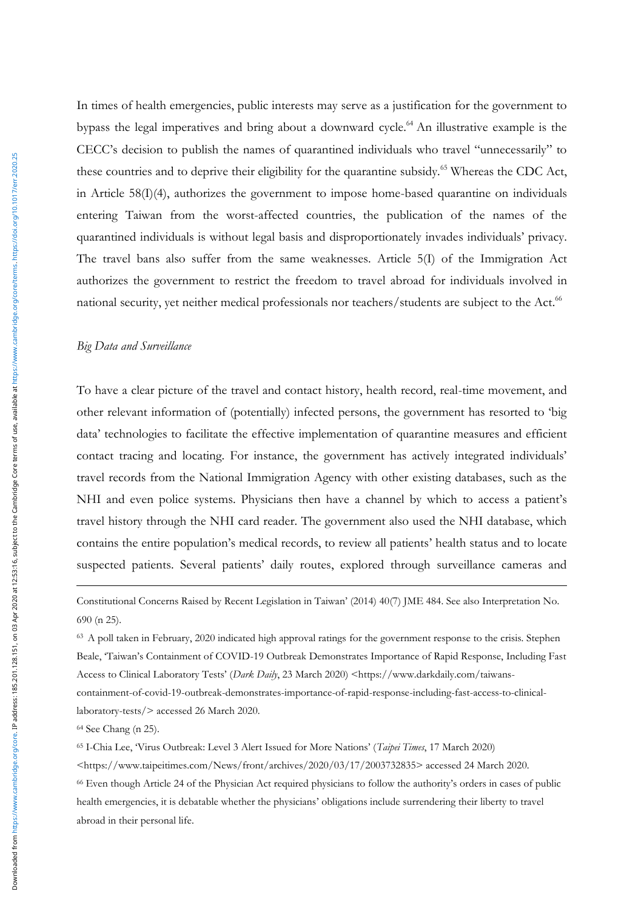In times of health emergencies, public interests may serve as a justification for the government to bypass the legal imperatives and bring about a downward cycle.<sup>64</sup> An illustrative example is the CECC's decision to publish the names of quarantined individuals who travel "unnecessarily" to these countries and to deprive their eligibility for the quarantine subsidy.<sup>65</sup> Whereas the CDC Act, in Article 58(I)(4), authorizes the government to impose home-based quarantine on individuals entering Taiwan from the worst-affected countries, the publication of the names of the quarantined individuals is without legal basis and disproportionately invades individuals' privacy. The travel bans also suffer from the same weaknesses. Article 5(I) of the Immigration Act authorizes the government to restrict the freedom to travel abroad for individuals involved in national security, yet neither medical professionals nor teachers/students are subject to the Act.<sup>66</sup>

#### *Big Data and Surveillance*

To have a clear picture of the travel and contact history, health record, real-time movement, and other relevant information of (potentially) infected persons, the government has resorted to 'big data' technologies to facilitate the effective implementation of quarantine measures and efficient contact tracing and locating. For instance, the government has actively integrated individuals' travel records from the National Immigration Agency with other existing databases, such as the NHI and even police systems. Physicians then have a channel by which to access a patient's travel history through the NHI card reader. The government also used the NHI database, which contains the entire population's medical records, to review all patients' health status and to locate suspected patients. Several patients' daily routes, explored through surveillance cameras and

Constitutional Concerns Raised by Recent Legislation in Taiwan' (2014) 40(7) JME 484. See also Interpretation No. 690 (n 25).

<sup>63</sup> A poll taken in February, 2020 indicated high approval ratings for the government response to the crisis. Stephen Beale, 'Taiwan's Containment of COVID-19 Outbreak Demonstrates Importance of Rapid Response, Including Fast Access to Clinical Laboratory Tests' (*Dark Daily*, 23 March 2020) <https://www.darkdaily.com/taiwans-

containment-of-covid-19-outbreak-demonstrates-importance-of-rapid-response-including-fast-access-to-clinicallaboratory-tests/> accessed 26 March 2020.

<sup>64</sup> See Chang (n 25).

<sup>65</sup> I-Chia Lee, 'Virus Outbreak: Level 3 Alert Issued for More Nations' (*Taipei Times*, 17 March 2020)

<sup>&</sup>lt;https://www.taipeitimes.com/News/front/archives/2020/03/17/2003732835> accessed 24 March 2020. <sup>66</sup> Even though Article 24 of the Physician Act required physicians to follow the authority's orders in cases of public health emergencies, it is debatable whether the physicians' obligations include surrendering their liberty to travel abroad in their personal life.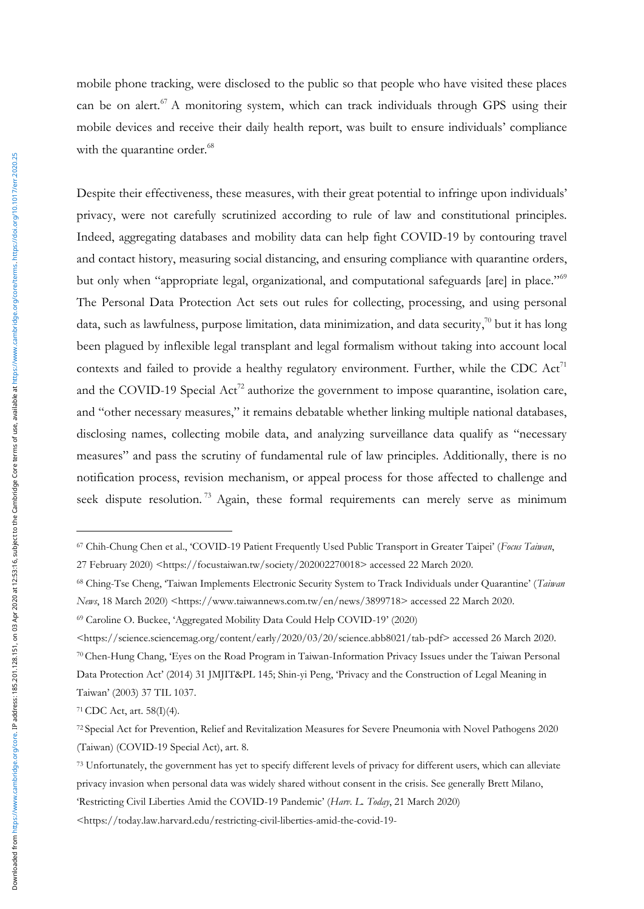mobile phone tracking, were disclosed to the public so that people who have visited these places can be on alert.<sup>67</sup> A monitoring system, which can track individuals through GPS using their mobile devices and receive their daily health report, was built to ensure individuals' compliance with the quarantine order.<sup>68</sup>

Despite their effectiveness, these measures, with their great potential to infringe upon individuals' privacy, were not carefully scrutinized according to rule of law and constitutional principles. Indeed, aggregating databases and mobility data can help fight COVID-19 by contouring travel and contact history, measuring social distancing, and ensuring compliance with quarantine orders, but only when "appropriate legal, organizational, and computational safeguards [are] in place."<sup>69</sup> The Personal Data Protection Act sets out rules for collecting, processing, and using personal data, such as lawfulness, purpose limitation, data minimization, and data security,<sup>70</sup> but it has long been plagued by inflexible legal transplant and legal formalism without taking into account local contexts and failed to provide a healthy regulatory environment. Further, while the CDC  $Act<sup>71</sup>$ and the COVID-19 Special  $Act^{72}$  authorize the government to impose quarantine, isolation care, and "other necessary measures," it remains debatable whether linking multiple national databases, disclosing names, collecting mobile data, and analyzing surveillance data qualify as "necessary measures" and pass the scrutiny of fundamental rule of law principles. Additionally, there is no notification process, revision mechanism, or appeal process for those affected to challenge and seek dispute resolution.<sup>73</sup> Again, these formal requirements can merely serve as minimum

<sup>67</sup> Chih-Chung Chen et al., 'COVID-19 Patient Frequently Used Public Transport in Greater Taipei' (*Focus Taiwan*, 27 February 2020) <https://focustaiwan.tw/society/202002270018> accessed 22 March 2020.

<sup>68</sup> Ching-Tse Cheng, 'Taiwan Implements Electronic Security System to Track Individuals under Quarantine' (*Taiwan News*, 18 March 2020) <https://www.taiwannews.com.tw/en/news/3899718> accessed 22 March 2020.

<sup>69</sup> Caroline O. Buckee, 'Aggregated Mobility Data Could Help COVID-19' (2020)

<sup>&</sup>lt;https://science.sciencemag.org/content/early/2020/03/20/science.abb8021/tab-pdf> accessed 26 March 2020.

<sup>70</sup> Chen-Hung Chang, 'Eyes on the Road Program in Taiwan-Information Privacy Issues under the Taiwan Personal Data Protection Act' (2014) 31 JMJIT&PL 145; Shin-yi Peng, 'Privacy and the Construction of Legal Meaning in Taiwan' (2003) 37 TIL 1037.

<sup>71</sup> CDC Act, art. 58(I)(4).

<sup>72</sup> Special Act for Prevention, Relief and Revitalization Measures for Severe Pneumonia with Novel Pathogens 2020 (Taiwan) (COVID-19 Special Act), art. 8.

<sup>73</sup> Unfortunately, the government has yet to specify different levels of privacy for different users, which can alleviate privacy invasion when personal data was widely shared without consent in the crisis. See generally Brett Milano, 'Restricting Civil Liberties Amid the COVID-19 Pandemic' (*Harv. L. Today*, 21 March 2020)

<sup>&</sup>lt;https://today.law.harvard.edu/restricting-civil-liberties-amid-the-covid-19-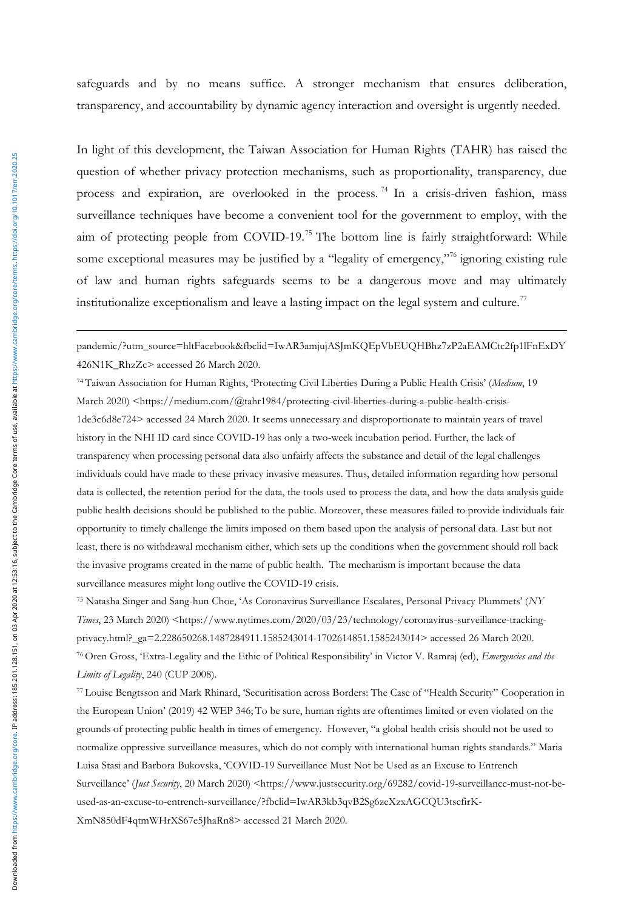safeguards and by no means suffice. A stronger mechanism that ensures deliberation, transparency, and accountability by dynamic agency interaction and oversight is urgently needed.

In light of this development, the Taiwan Association for Human Rights (TAHR) has raised the question of whether privacy protection mechanisms, such as proportionality, transparency, due process and expiration, are overlooked in the process. <sup>74</sup> In a crisis-driven fashion, mass surveillance techniques have become a convenient tool for the government to employ, with the aim of protecting people from COVID-19.<sup>75</sup> The bottom line is fairly straightforward: While some exceptional measures may be justified by a "legality of emergency,"<sup> $6$ </sup> ignoring existing rule of law and human rights safeguards seems to be a dangerous move and may ultimately institutionalize exceptionalism and leave a lasting impact on the legal system and culture.<sup>77</sup>

pandemic/?utm\_source=hltFacebook&fbclid=IwAR3amjujASJmKQEpVbEUQHBhz7zP2aEAMCtc2fp1lFnExDY 426N1K\_RhzZc> accessed 26 March 2020.

<sup>74</sup> Taiwan Association for Human Rights, 'Protecting Civil Liberties During a Public Health Crisis' (*Medium*, 19 March 2020) <https://medium.com/@tahr1984/protecting-civil-liberties-during-a-public-health-crisis-1de3c6d8e724> accessed 24 March 2020. It seems unnecessary and disproportionate to maintain years of travel history in the NHI ID card since COVID-19 has only a two-week incubation period. Further, the lack of transparency when processing personal data also unfairly affects the substance and detail of the legal challenges individuals could have made to these privacy invasive measures. Thus, detailed information regarding how personal data is collected, the retention period for the data, the tools used to process the data, and how the data analysis guide public health decisions should be published to the public. Moreover, these measures failed to provide individuals fair opportunity to timely challenge the limits imposed on them based upon the analysis of personal data. Last but not least, there is no withdrawal mechanism either, which sets up the conditions when the government should roll back the invasive programs created in the name of public health. The mechanism is important because the data surveillance measures might long outlive the COVID-19 crisis.

<sup>75</sup> Natasha Singer and Sang-hun Choe, 'As Coronavirus Surveillance Escalates, Personal Privacy Plummets' (*NY Times*, 23 March 2020) <https://www.nytimes.com/2020/03/23/technology/coronavirus-surveillance-trackingprivacy.html?\_ga=2.228650268.1487284911.1585243014-1702614851.1585243014> accessed 26 March 2020. <sup>76</sup> Oren Gross, 'Extra-Legality and the Ethic of Political Responsibility' in Victor V. Ramraj (ed), *Emergencies and the Limits of Legality*, 240 (CUP 2008).

<sup>77</sup> Louise Bengtsson and Mark Rhinard, 'Securitisation across Borders: The Case of "Health Security" Cooperation in the European Union' (2019) 42 WEP 346; To be sure, human rights are oftentimes limited or even violated on the grounds of protecting public health in times of emergency. However, "a global health crisis should not be used to normalize oppressive surveillance measures, which do not comply with international human rights standards." Maria Luisa Stasi and Barbora Bukovska, 'COVID-19 Surveillance Must Not be Used as an Excuse to Entrench Surveillance' (*Just Security*, 20 March 2020) <https://www.justsecurity.org/69282/covid-19-surveillance-must-not-beused-as-an-excuse-to-entrench-surveillance/?fbclid=IwAR3kb3qvB2Sg6zeXzxAGCQU3tscfirK-XmN850dF4qtmWHrXS67e5JhaRn8> accessed 21 March 2020.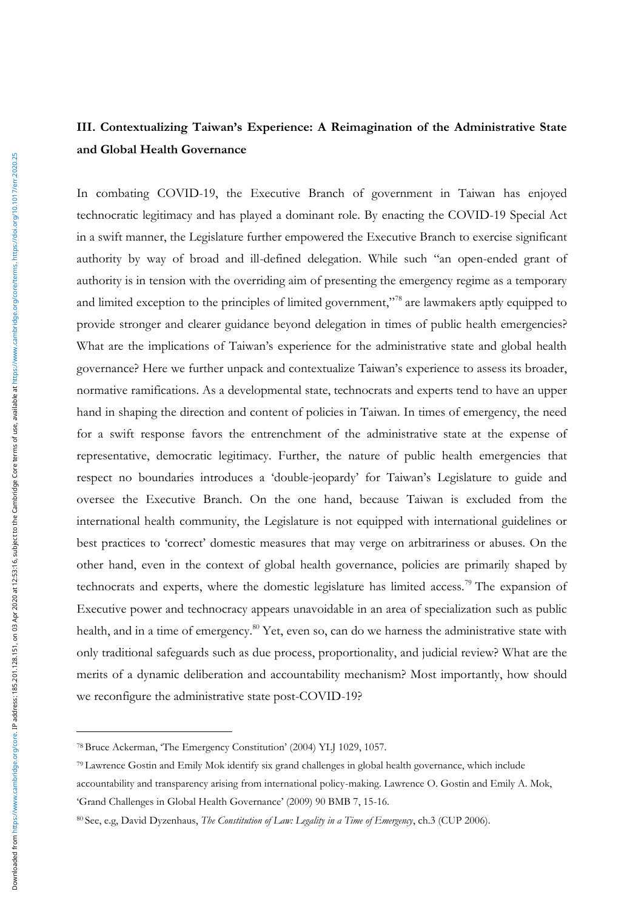# **III. Contextualizing Taiwan's Experience: A Reimagination of the Administrative State and Global Health Governance**

In combating COVID-19, the Executive Branch of government in Taiwan has enjoyed technocratic legitimacy and has played a dominant role. By enacting the COVID-19 Special Act in a swift manner, the Legislature further empowered the Executive Branch to exercise significant authority by way of broad and ill-defined delegation. While such "an open-ended grant of authority is in tension with the overriding aim of presenting the emergency regime as a temporary and limited exception to the principles of limited government,"<sup>78</sup> are lawmakers aptly equipped to provide stronger and clearer guidance beyond delegation in times of public health emergencies? What are the implications of Taiwan's experience for the administrative state and global health governance? Here we further unpack and contextualize Taiwan's experience to assess its broader, normative ramifications. As a developmental state, technocrats and experts tend to have an upper hand in shaping the direction and content of policies in Taiwan. In times of emergency, the need for a swift response favors the entrenchment of the administrative state at the expense of representative, democratic legitimacy. Further, the nature of public health emergencies that respect no boundaries introduces a 'double-jeopardy' for Taiwan's Legislature to guide and oversee the Executive Branch. On the one hand, because Taiwan is excluded from the international health community, the Legislature is not equipped with international guidelines or best practices to 'correct' domestic measures that may verge on arbitrariness or abuses. On the other hand, even in the context of global health governance, policies are primarily shaped by technocrats and experts, where the domestic legislature has limited access.<sup>79</sup> The expansion of Executive power and technocracy appears unavoidable in an area of specialization such as public health, and in a time of emergency.<sup>80</sup> Yet, even so, can do we harness the administrative state with only traditional safeguards such as due process, proportionality, and judicial review? What are the merits of a dynamic deliberation and accountability mechanism? Most importantly, how should we reconfigure the administrative state post-COVID-19?

<sup>78</sup> Bruce Ackerman, 'The Emergency Constitution' (2004) YLJ 1029, 1057.

<sup>79</sup> Lawrence Gostin and Emily Mok identify six grand challenges in global health governance, which include accountability and transparency arising from international policy-making. Lawrence O. Gostin and Emily A. Mok, 'Grand Challenges in Global Health Governance' (2009) 90 BMB 7, 15-16.

<sup>80</sup> See, e.g, David Dyzenhaus, *The Constitution of Law: Legality in a Time of Emergency*, ch.3 (CUP 2006).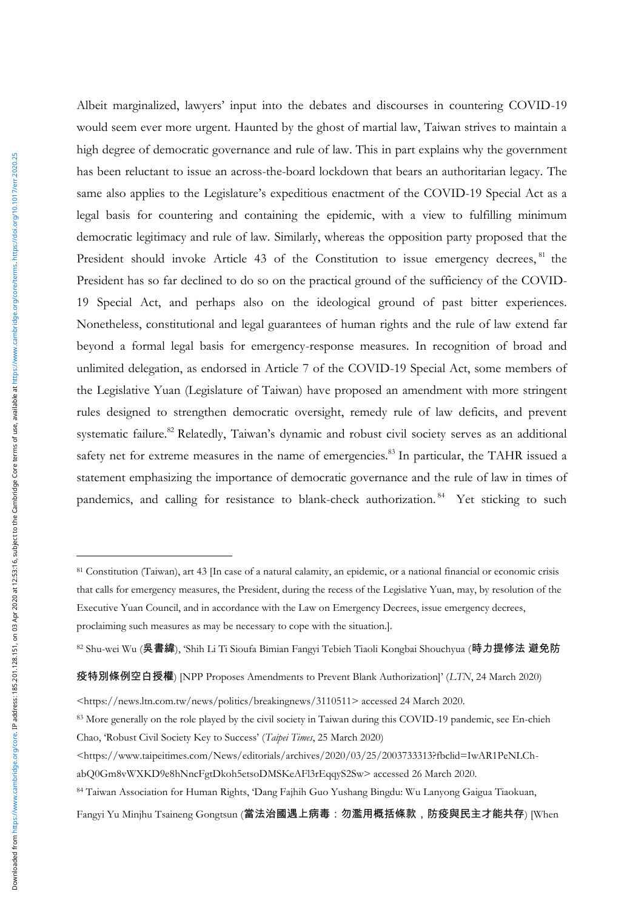Albeit marginalized, lawyers' input into the debates and discourses in countering COVID-19 would seem ever more urgent. Haunted by the ghost of martial law, Taiwan strives to maintain a high degree of democratic governance and rule of law. This in part explains why the government has been reluctant to issue an across-the-board lockdown that bears an authoritarian legacy. The same also applies to the Legislature's expeditious enactment of the COVID-19 Special Act as a legal basis for countering and containing the epidemic, with a view to fulfilling minimum democratic legitimacy and rule of law. Similarly, whereas the opposition party proposed that the President should invoke Article 43 of the Constitution to issue emergency decrees, <sup>81</sup> the President has so far declined to do so on the practical ground of the sufficiency of the COVID-19 Special Act, and perhaps also on the ideological ground of past bitter experiences. Nonetheless, constitutional and legal guarantees of human rights and the rule of law extend far beyond a formal legal basis for emergency-response measures. In recognition of broad and unlimited delegation, as endorsed in Article 7 of the COVID-19 Special Act, some members of the Legislative Yuan (Legislature of Taiwan) have proposed an amendment with more stringent rules designed to strengthen democratic oversight, remedy rule of law deficits, and prevent systematic failure.<sup>82</sup> Relatedly, Taiwan's dynamic and robust civil society serves as an additional safety net for extreme measures in the name of emergencies.<sup>83</sup> In particular, the TAHR issued a statement emphasizing the importance of democratic governance and the rule of law in times of pandemics, and calling for resistance to blank-check authorization.<sup>84</sup> Yet sticking to such

82 Shu-wei Wu (吳書緯), 'Shih Li Ti Sioufa Bimian Fangyi Tebieh Tiaoli Kongbai Shouchyua (時力提修法 避免防

疫特別條例空白授權) [NPP Proposes Amendments to Prevent Blank Authorization]' (*LTN*, 24 March 2020)

<sup>81</sup> Constitution (Taiwan), art 43 [In case of a natural calamity, an epidemic, or a national financial or economic crisis that calls for emergency measures, the President, during the recess of the Legislative Yuan, may, by resolution of the Executive Yuan Council, and in accordance with the Law on Emergency Decrees, issue emergency decrees, proclaiming such measures as may be necessary to cope with the situation.].

<sup>&</sup>lt;https://news.ltn.com.tw/news/politics/breakingnews/3110511> accessed 24 March 2020.

<sup>&</sup>lt;sup>83</sup> More generally on the role played by the civil society in Taiwan during this COVID-19 pandemic, see En-chieh Chao, 'Robust Civil Society Key to Success' (*Taipei Times*, 25 March 2020)

<sup>&</sup>lt;https://www.taipeitimes.com/News/editorials/archives/2020/03/25/2003733313?fbclid=IwAR1PeNLCh-

abQ0Gm8vWXKD9e8hNncFgtDkoh5etsoDMSKeAFl3rEqqyS2Sw> accessed 26 March 2020.

<sup>84</sup> Taiwan Association for Human Rights, 'Dang Fajhih Guo Yushang Bingdu: Wu Lanyong Gaigua Tiaokuan,

Fangyi Yu Minjhu Tsaineng Gongtsun (當法治國遇上病毒: 勿濫用概括條款, 防疫與民主才能共存) [When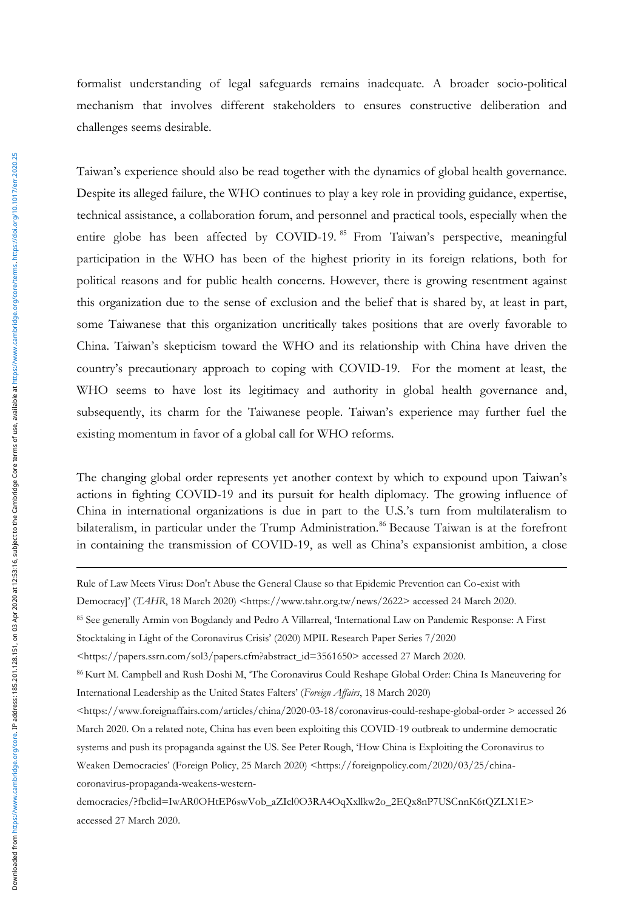formalist understanding of legal safeguards remains inadequate. A broader socio-political mechanism that involves different stakeholders to ensures constructive deliberation and challenges seems desirable.

Taiwan's experience should also be read together with the dynamics of global health governance. Despite its alleged failure, the WHO continues to play a key role in providing guidance, expertise, technical assistance, a collaboration forum, and personnel and practical tools, especially when the entire globe has been affected by COVID-19.<sup>85</sup> From Taiwan's perspective, meaningful participation in the WHO has been of the highest priority in its foreign relations, both for political reasons and for public health concerns. However, there is growing resentment against this organization due to the sense of exclusion and the belief that is shared by, at least in part, some Taiwanese that this organization uncritically takes positions that are overly favorable to China. Taiwan's skepticism toward the WHO and its relationship with China have driven the country's precautionary approach to coping with COVID-19. For the moment at least, the WHO seems to have lost its legitimacy and authority in global health governance and, subsequently, its charm for the Taiwanese people. Taiwan's experience may further fuel the existing momentum in favor of a global call for WHO reforms.

The changing global order represents yet another context by which to expound upon Taiwan's actions in fighting COVID-19 and its pursuit for health diplomacy. The growing influence of China in international organizations is due in part to the U.S.'s turn from multilateralism to bilateralism, in particular under the Trump Administration.<sup>86</sup> Because Taiwan is at the forefront in containing the transmission of COVID-19, as well as China's expansionist ambition, a close

<sup>86</sup> Kurt M. Campbell and Rush Doshi M, 'The Coronavirus Could Reshape Global Order: China Is Maneuvering for International Leadership as the United States Falters' (*Foreign Affairs*, 18 March 2020)

Rule of Law Meets Virus: Don't Abuse the General Clause so that Epidemic Prevention can Co-exist with

Democracy]' (*TAHR*, 18 March 2020) <https://www.tahr.org.tw/news/2622> accessed 24 March 2020.

<sup>85</sup> See generally Armin von Bogdandy and Pedro A Villarreal, 'International Law on Pandemic Response: A First Stocktaking in Light of the Coronavirus Crisis' (2020) MPIL Research Paper Series 7/2020

<sup>&</sup>lt;https://papers.ssrn.com/sol3/papers.cfm?abstract\_id=3561650> accessed 27 March 2020.

<sup>&</sup>lt;https://www.foreignaffairs.com/articles/china/2020-03-18/coronavirus-could-reshape-global-order > accessed 26

March 2020. On a related note, China has even been exploiting this COVID-19 outbreak to undermine democratic

systems and push its propaganda against the US. See Peter Rough, 'How China is Exploiting the Coronavirus to

Weaken Democracies' (Foreign Policy, 25 March 2020) <https://foreignpolicy.com/2020/03/25/chinacoronavirus-propaganda-weakens-western-

democracies/?fbclid=IwAR0OHtEP6swVob\_aZIcl0O3RA4OqXxllkw2o\_2EQx8nP7USCnnK6tQZLX1E> accessed 27 March 2020.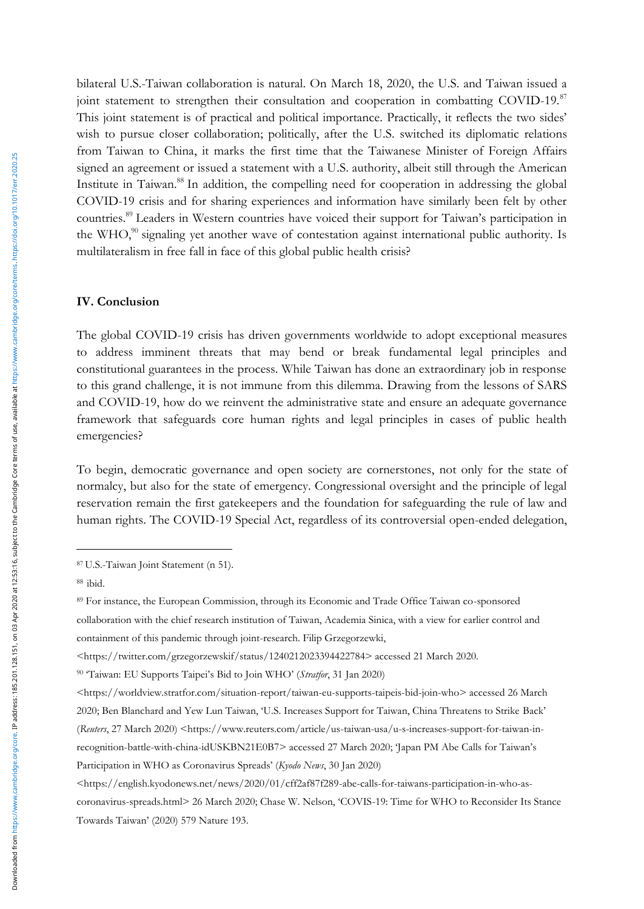bilateral U.S.-Taiwan collaboration is natural. On March 18, 2020, the U.S. and Taiwan issued a joint statement to strengthen their consultation and cooperation in combatting COVID-19.<sup>87</sup> This joint statement is of practical and political importance. Practically, it reflects the two sides' wish to pursue closer collaboration; politically, after the U.S. switched its diplomatic relations from Taiwan to China, it marks the first time that the Taiwanese Minister of Foreign Affairs signed an agreement or issued a statement with a U.S. authority, albeit still through the American Institute in Taiwan.<sup>88</sup> In addition, the compelling need for cooperation in addressing the global COVID-19 crisis and for sharing experiences and information have similarly been felt by other countries.<sup>89</sup> Leaders in Western countries have voiced their support for Taiwan's participation in the WHO,<sup>90</sup> signaling yet another wave of contestation against international public authority. Is multilateralism in free fall in face of this global public health crisis?

## **IV. Conclusion**

The global COVID-19 crisis has driven governments worldwide to adopt exceptional measures to address imminent threats that may bend or break fundamental legal principles and constitutional guarantees in the process. While Taiwan has done an extraordinary job in response to this grand challenge, it is not immune from this dilemma. Drawing from the lessons of SARS and COVID-19, how do we reinvent the administrative state and ensure an adequate governance framework that safeguards core human rights and legal principles in cases of public health emergencies?

To begin, democratic governance and open society are cornerstones, not only for the state of normalcy, but also for the state of emergency. Congressional oversight and the principle of legal reservation remain the first gatekeepers and the foundation for safeguarding the rule of law and human rights. The COVID-19 Special Act, regardless of its controversial open-ended delegation,

<sup>87</sup> U.S.-Taiwan Joint Statement (n 51).

<sup>88</sup> ibid.

<sup>89</sup> For instance, the European Commission, through its Economic and Trade Office Taiwan co-sponsored collaboration with the chief research institution of Taiwan, Academia Sinica, with a view for earlier control and containment of this pandemic through joint-research. Filip Grzegorzewki,

<sup>&</sup>lt;https://twitter.com/grzegorzewskif/status/1240212023394422784> accessed 21 March 2020.

<sup>90</sup> 'Taiwan: EU Supports Taipei's Bid to Join WHO' (*Stratfor*, 31 Jan 2020)

<sup>&</sup>lt;https://worldview.stratfor.com/situation-report/taiwan-eu-supports-taipeis-bid-join-who> accessed 26 March 2020; Ben Blanchard and Yew Lun Taiwan, 'U.S. Increases Support for Taiwan, China Threatens to Strike Back' (*Reuters*, 27 March 2020) <https://www.reuters.com/article/us-taiwan-usa/u-s-increases-support-for-taiwan-inrecognition-battle-with-china-idUSKBN21E0B7> accessed 27 March 2020; 'Japan PM Abe Calls for Taiwan's Participation in WHO as Coronavirus Spreads' (*Kyodo News*, 30 Jan 2020)

<sup>&</sup>lt;https://english.kyodonews.net/news/2020/01/cff2af87f289-abe-calls-for-taiwans-participation-in-who-ascoronavirus-spreads.html> 26 March 2020; Chase W. Nelson, 'COVIS-19: Time for WHO to Reconsider Its Stance Towards Taiwan' (2020) 579 Nature 193.